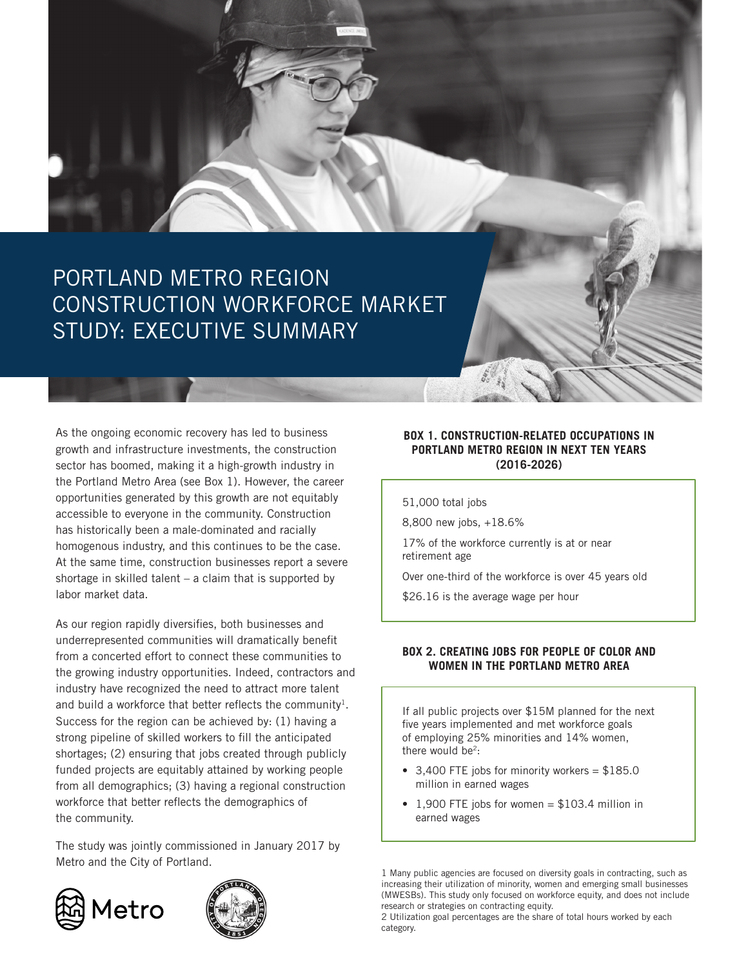

As the ongoing economic recovery has led to business growth and infrastructure investments, the construction sector has boomed, making it a high-growth industry in the Portland Metro Area (see Box 1). However, the career opportunities generated by this growth are not equitably accessible to everyone in the community. Construction has historically been a male-dominated and racially homogenous industry, and this continues to be the case. At the same time, construction businesses report a severe shortage in skilled talent – a claim that is supported by labor market data.

As our region rapidly diversifies, both businesses and underrepresented communities will dramatically benefit from a concerted effort to connect these communities to the growing industry opportunities. Indeed, contractors and industry have recognized the need to attract more talent and build a workforce that better reflects the community<sup>1</sup>. Success for the region can be achieved by: (1) having a strong pipeline of skilled workers to fill the anticipated shortages; (2) ensuring that jobs created through publicly funded projects are equitably attained by working people from all demographics; (3) having a regional construction workforce that better reflects the demographics of the community.

The study was jointly commissioned in January 2017 by Metro and the City of Portland.





### **BOX 1. CONSTRUCTION-RELATED OCCUPATIONS IN PORTLAND METRO REGION IN NEXT TEN YEARS (2016-2026)**

51,000 total jobs

8,800 new jobs, +18.6%

17% of the workforce currently is at or near retirement age

Over one-third of the workforce is over 45 years old

\$26.16 is the average wage per hour

### **BOX 2. CREATING JOBS FOR PEOPLE OF COLOR AND WOMEN IN THE PORTLAND METRO AREA**

If all public projects over \$15M planned for the next five years implemented and met workforce goals of employing 25% minorities and 14% women, there would be $2$ :

- 3,400 FTE jobs for minority workers  $= $185.0$ million in earned wages
- 1,900 FTE jobs for women =  $$103.4$  million in earned wages

1 Many public agencies are focused on diversity goals in contracting, such as increasing their utilization of minority, women and emerging small businesses (MWESBs). This study only focused on workforce equity, and does not include research or strategies on contracting equity.

2 Utilization goal percentages are the share of total hours worked by each category.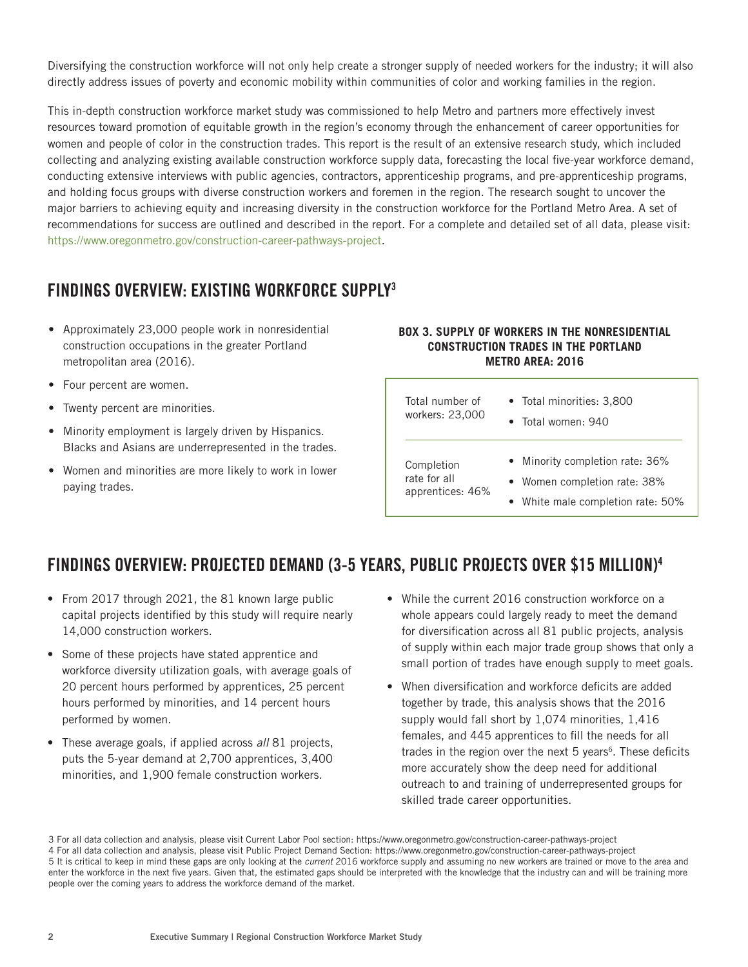Diversifying the construction workforce will not only help create a stronger supply of needed workers for the industry; it will also directly address issues of poverty and economic mobility within communities of color and working families in the region.

This in-depth construction workforce market study was commissioned to help Metro and partners more effectively invest resources toward promotion of equitable growth in the region's economy through the enhancement of career opportunities for women and people of color in the construction trades. This report is the result of an extensive research study, which included collecting and analyzing existing available construction workforce supply data, forecasting the local five-year workforce demand, conducting extensive interviews with public agencies, contractors, apprenticeship programs, and pre-apprenticeship programs, and holding focus groups with diverse construction workers and foremen in the region. The research sought to uncover the major barriers to achieving equity and increasing diversity in the construction workforce for the Portland Metro Area. A set of recommendations for success are outlined and described in the report. For a complete and detailed set of all data, please visit: https://www.oregonmetro.gov/construction-career-pathways-project.

## FINDINGS OVERVIEW: EXISTING WORKFORCE SUPPLY3

- Approximately 23,000 people work in nonresidential construction occupations in the greater Portland metropolitan area (2016).
- Four percent are women.
- Twenty percent are minorities.
- Minority employment is largely driven by Hispanics. Blacks and Asians are underrepresented in the trades.
- Women and minorities are more likely to work in lower paying trades.

### **BOX 3. SUPPLY OF WORKERS IN THE NONRESIDENTIAL CONSTRUCTION TRADES IN THE PORTLAND METRO AREA: 2016**

| Total number of  | • Total minorities: 3,800         |
|------------------|-----------------------------------|
| workers: 23,000  | $\bullet$ Total women: 940        |
| Completion       | • Minority completion rate: 36%   |
| rate for all     | • Women completion rate: 38%      |
| apprentices: 46% | • White male completion rate: 50% |

## FINDINGS OVERVIEW: PROJECTED DEMAND (3-5 YEARS, PUBLIC PROJECTS OVER \$15 MILLION)4

- From 2017 through 2021, the 81 known large public capital projects identified by this study will require nearly 14,000 construction workers.
- Some of these projects have stated apprentice and workforce diversity utilization goals, with average goals of 20 percent hours performed by apprentices, 25 percent hours performed by minorities, and 14 percent hours performed by women.
- These average goals, if applied across *all* 81 projects, puts the 5-year demand at 2,700 apprentices, 3,400 minorities, and 1,900 female construction workers.
- While the current 2016 construction workforce on a whole appears could largely ready to meet the demand for diversification across all 81 public projects, analysis of supply within each major trade group shows that only a small portion of trades have enough supply to meet goals.
- When diversification and workforce deficits are added together by trade, this analysis shows that the 2016 supply would fall short by 1,074 minorities, 1,416 females, and 445 apprentices to fill the needs for all trades in the region over the next 5 years<sup>6</sup>. These deficits more accurately show the deep need for additional outreach to and training of underrepresented groups for skilled trade career opportunities.

3 For all data collection and analysis, please visit Current Labor Pool section: https://www.oregonmetro.gov/construction-career-pathways-project 4 For all data collection and analysis, please visit Public Project Demand Section: https://www.oregonmetro.gov/construction-career-pathways-project 5 It is critical to keep in mind these gaps are only looking at the *current* 2016 workforce supply and assuming no new workers are trained or move to the area and enter the workforce in the next five years. Given that, the estimated gaps should be interpreted with the knowledge that the industry can and will be training more people over the coming years to address the workforce demand of the market.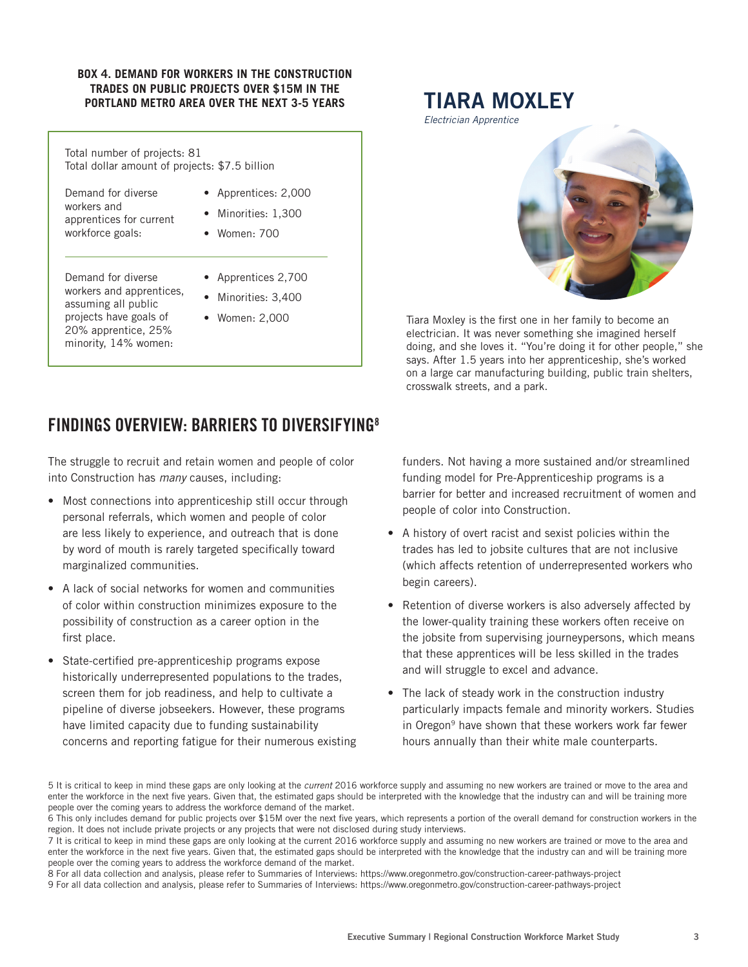#### **BOX 4. DEMAND FOR WORKERS IN THE CONSTRUCTION TRADES ON PUBLIC PROJECTS OVER \$15M IN THE PORTLAND METRO AREA OVER THE NEXT 3-5 YEARS**

| Total number of projects: 81<br>Total dollar amount of projects: \$7.5 billion                                                                 |                                                                     |  |
|------------------------------------------------------------------------------------------------------------------------------------------------|---------------------------------------------------------------------|--|
| Demand for diverse<br>workers and<br>apprentices for current<br>workforce goals:                                                               | • Apprentices: 2,000<br>• Minorities: 1,300<br>$\bullet$ Women: 700 |  |
| Demand for diverse<br>workers and apprentices,<br>assuming all public<br>projects have goals of<br>20% apprentice, 25%<br>minority, 14% women: | • Apprentices 2,700<br>• Minorities: 3,400<br>• Women: 2,000        |  |

# TIARA MOXLEY

*Electrician Apprentice*



Tiara Moxley is the first one in her family to become an electrician. It was never something she imagined herself doing, and she loves it. "You're doing it for other people," she says. After 1.5 years into her apprenticeship, she's worked on a large car manufacturing building, public train shelters, crosswalk streets, and a park.

## FINDINGS OVERVIEW: BARRIERS TO DIVERSIFYING8

The struggle to recruit and retain women and people of color into Construction has *many* causes, including:

- Most connections into apprenticeship still occur through personal referrals, which women and people of color are less likely to experience, and outreach that is done by word of mouth is rarely targeted specifically toward marginalized communities.
- A lack of social networks for women and communities of color within construction minimizes exposure to the possibility of construction as a career option in the first place.
- State-certified pre-apprenticeship programs expose historically underrepresented populations to the trades, screen them for job readiness, and help to cultivate a pipeline of diverse jobseekers. However, these programs have limited capacity due to funding sustainability concerns and reporting fatigue for their numerous existing

funders. Not having a more sustained and/or streamlined funding model for Pre-Apprenticeship programs is a barrier for better and increased recruitment of women and people of color into Construction.

- A history of overt racist and sexist policies within the trades has led to jobsite cultures that are not inclusive (which affects retention of underrepresented workers who begin careers).
- Retention of diverse workers is also adversely affected by the lower-quality training these workers often receive on the jobsite from supervising journeypersons, which means that these apprentices will be less skilled in the trades and will struggle to excel and advance.
- The lack of steady work in the construction industry particularly impacts female and minority workers. Studies in Oregon<sup>9</sup> have shown that these workers work far fewer hours annually than their white male counterparts.

<sup>5</sup> It is critical to keep in mind these gaps are only looking at the *current* 2016 workforce supply and assuming no new workers are trained or move to the area and enter the workforce in the next five years. Given that, the estimated gaps should be interpreted with the knowledge that the industry can and will be training more people over the coming years to address the workforce demand of the market.

<sup>6</sup> This only includes demand for public projects over \$15M over the next five years, which represents a portion of the overall demand for construction workers in the region. It does not include private projects or any projects that were not disclosed during study interviews.

<sup>7</sup> It is critical to keep in mind these gaps are only looking at the current 2016 workforce supply and assuming no new workers are trained or move to the area and enter the workforce in the next five years. Given that, the estimated gaps should be interpreted with the knowledge that the industry can and will be training more people over the coming years to address the workforce demand of the market.

<sup>8</sup> For all data collection and analysis, please refer to Summaries of Interviews: https://www.oregonmetro.gov/construction-career-pathways-project

<sup>9</sup> For all data collection and analysis, please refer to Summaries of Interviews: https://www.oregonmetro.gov/construction-career-pathways-project